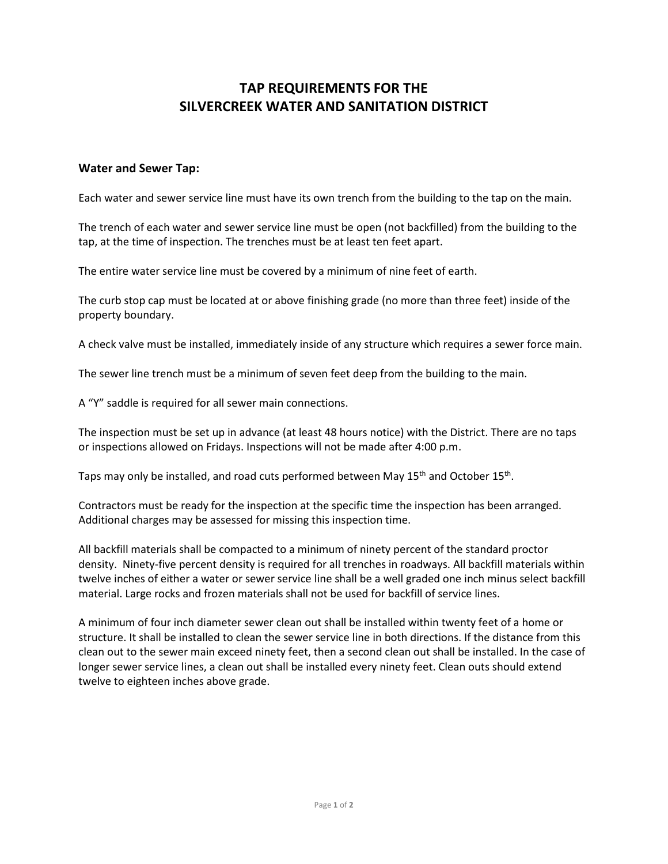## **TAP REQUIREMENTS FOR THE SILVERCREEK WATER AND SANITATION DISTRICT**

## **Water and Sewer Tap:**

Each water and sewer service line must have its own trench from the building to the tap on the main.

The trench of each water and sewer service line must be open (not backfilled) from the building to the tap, at the time of inspection. The trenches must be at least ten feet apart.

The entire water service line must be covered by a minimum of nine feet of earth.

The curb stop cap must be located at or above finishing grade (no more than three feet) inside of the property boundary.

A check valve must be installed, immediately inside of any structure which requires a sewer force main.

The sewer line trench must be a minimum of seven feet deep from the building to the main.

A "Y" saddle is required for all sewer main connections.

The inspection must be set up in advance (at least 48 hours notice) with the District. There are no taps or inspections allowed on Fridays. Inspections will not be made after 4:00 p.m.

Taps may only be installed, and road cuts performed between May 15<sup>th</sup> and October 15<sup>th</sup>.

Contractors must be ready for the inspection at the specific time the inspection has been arranged. Additional charges may be assessed for missing this inspection time.

All backfill materials shall be compacted to a minimum of ninety percent of the standard proctor density. Ninety-five percent density is required for all trenches in roadways. All backfill materials within twelve inches of either a water or sewer service line shall be a well graded one inch minus select backfill material. Large rocks and frozen materials shall not be used for backfill of service lines.

A minimum of four inch diameter sewer clean out shall be installed within twenty feet of a home or structure. It shall be installed to clean the sewer service line in both directions. If the distance from this clean out to the sewer main exceed ninety feet, then a second clean out shall be installed. In the case of longer sewer service lines, a clean out shall be installed every ninety feet. Clean outs should extend twelve to eighteen inches above grade.